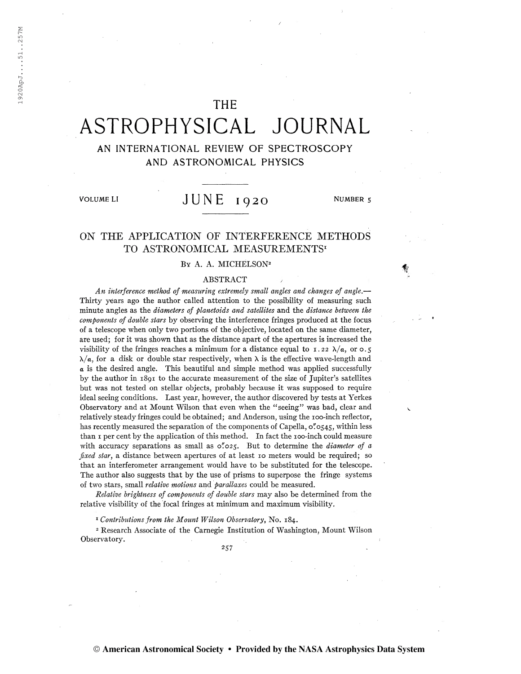## THE

# ASTROPHYSICAL JOURNAL

## AN INTERNATIONAL REVIEW OF SPECTROSCOPY AND ASTRONOMICAL PHYSICS

VOLUME LI  $JUNE_{1920}$  NUMBER 5

## ON THE APPLICATION OF INTERFERENCE METHODS TO ASTRONOMICAL MEASUREMENTS<sup>1</sup>

#### BY A. A. MICHELSON<sup>2</sup>

#### ABSTRACT

An interference method of measuring extremely small angles and changes of angle.— Thirty yêars ago the author called attention to the possibility of measuring such minute angles as the diameters of planetoids and satellites and the distance between the components of double stars by observing the interference fringes produced at the focus of a telescope when only two portions of the objective, located on the same diameter, are used; for it was shown that as the distance apart of the apertures is increased the visibility of the fringes reaches a minimum for a distance equal to 1.22  $\lambda/\alpha$ , or 0.5  $\lambda/\alpha$ , for a disk or double star respectively, when  $\lambda$  is the effective wave-length and  $\alpha$  is the desired angle. This beautiful and simple method was applied successfully by the author in 1891 to the accurate measurement of the size of Jupiter's satellites but was not tested on stellar objects, probably because it was supposed to require ideal seeing conditions. Last year, however, the author discovered by tests at Yerkes Observatory and at Mount Wilson that even when the "seeing" was bad, clear and relatively steady fringes could be obtained; and Anderson, using the 100-inch reflector, has recently measured the separation of the components of Capella,  $o''$ .  $o545$ , within less than i per cent by the application of this method. In fact the 100-inch could measure with accuracy separations as small as  $\circ$ "025. But to determine the *diameter of a* fixed star, a distance between apertures of at least 10 meters would be required; so that an interferometer arrangement would have to be substituted for the telescope. The author also suggests that by the use of prisms to superpose the fringe systems of two stars, small relative motions and parallaxes could be measured.

Relative brightness of components of double stars may also be determined from the relative visibility of the focal fringes at minimum and maximum visibility.

<sup>1</sup> Contributions from the Mount Wilson Observatory, No. 184.

<sup>2</sup> Research Associate of the Carnegie Institution of Washington, Mount Wilson Observatory.

257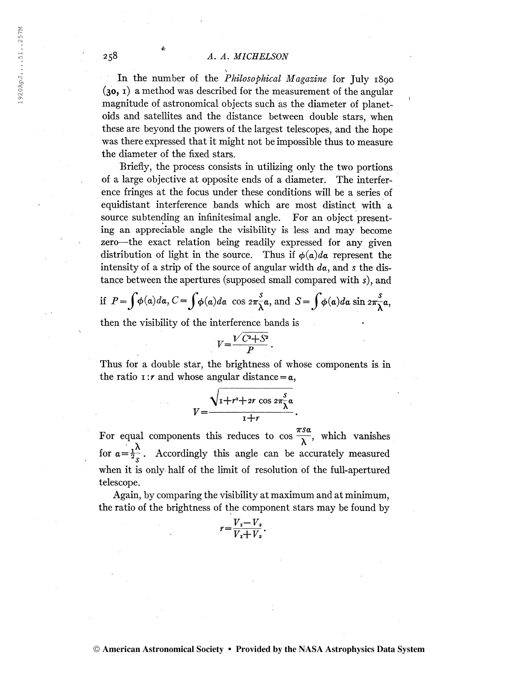## 258 A. A. MICRELSON

In the number of the *Philosophical Magazine* for July 1890  $(30, 1)$  a method was described for the measurement of the angular magnitude of astronomical objects such as the diameter of planetoids and satellites and the distance between double stars, when these are beyond the powers of the largest telescopes, and the hope was there expressed that it might not be impossible thus to measure the diameter of the fixed stars.

Briefly, the process consists in utilizing only the two portions of a large objective at opposite ends of a diameter. The interference fringes at the focus under these conditions will be a series of equidistant interference bands which are most distinct with a source subtending an infinitesimal angle. For an object presenting an appreciable angle the visibility is less and may become zero—the exact relation being readily expressed for any given distribution of light in the source. Thus if  $\phi(a)da$  represent the intensity of a strip of the source of angular width  $da$ , and s the distance between the apertures (supposed small compared with s), and

if 
$$
P = \int \phi(a)da
$$
,  $C = \int \phi(a)da$  cos  $2\pi \frac{s}{\lambda}a$ , and  $S = \int \phi(a)da$  sin  $2\pi \frac{s}{\lambda}a$ ,

then the visibility of the interference bands is

$$
V = \frac{\sqrt{C^2 + S^2}}{P}.
$$

Thus for a double star, the brightness of whose components is in the ratio 1:*r* and whose angular distance  $=\alpha$ ,

$$
V=\frac{\sqrt{1+r^2+2r\,\cos\,2\pi\frac{s}{\lambda}\alpha}}{1+r}.
$$

For equal components this reduces to  $\cos \frac{\pi s a}{\lambda}$ , which vanishes for  $a=\frac{1}{2s}$ . Accordingly this angle can be accurately measured when it is only half of the limit of resolution of the full-apertured telescope.

Again, by comparing the visibility at maximum and at minimum, the ratio of the brightness of the component stars may be found by<br> $r = \frac{V_x - V_z}{\frac{1}{r} + V_z}$ .

$$
r = \frac{V_{\rm r} - V_{\rm a}}{V_{\rm r} + V_{\rm a}}.
$$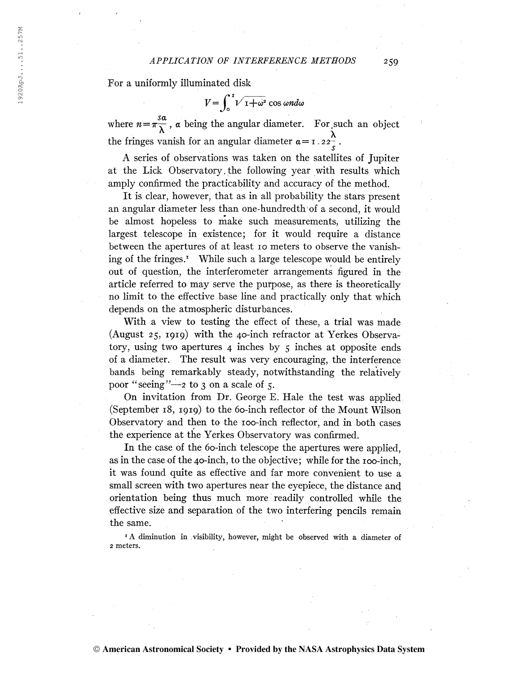For a uniformly illuminated disk

 $V = \int_{0}^{1} V \overline{1 + \omega^2} \cos \omega n d\omega$ 

where  $n=\pi\frac{3a}{\lambda}$ , a being the angular diameter. For such an object the fringes vanish for an angular diameter  $\alpha = \frac{1}{2} \cdot 2 \cdot \frac{1}{s}$ .

A series of observations was taken on the satellites of Jupiter at the Lick Observatory. the following year with results which amply confirmed the practicability and accuracy of the method.

It is clear, however, that as in all probability the stars present an angular diameter less than one-hundredth of a second, it would be almost hopeless to make such measurements, utilizing the largest telescope in existence; for it would require a distance between the apertures of at least 10 meters to observe the vanishing of the fringes.<sup> $\text{I}$ </sup> While such a large telescope would be entirely out of question, the interferometer arrangements figured in the article referred to may serve the purpose, as there is theoretically no limit to the effective base line and practically only that which depends on the atmospheric disturbances.

With a view to testing the effect of these, a trial was made (August 25, 1919) with the 40-inch refractor at Yerkes Observatory, using two apertures  $4$  inches by  $5$  inches at opposite ends of a diameter. The result was very encouraging, the interference bands being remarkably steady, notwithstanding the relatively poor "seeing"—2 to 3 on a scale of 5.

On invitation from Dr. George E. Hale the test was applied (September 18, 1919) to the 60-inch reflector bf the Mount Wilson Observatory and then to the 100-inch reflector, and in both cases the experience at the Yerkes Observatory was confirmed.

In the case of the 60-inch telescope the apertures were applied, as in the case of the 40-inch, to the objective; while for the 100-inch, it was found quite as effective and far more convenient to use a small screen with two apertures near the eyepiece, the distance and orientation being thus much more readily controlled while the effective size and separation of the two interfering pencils remain the same.

<sup>1</sup> A diminution in visibility, however, might be observed with a diameter of <sup>2</sup> meters.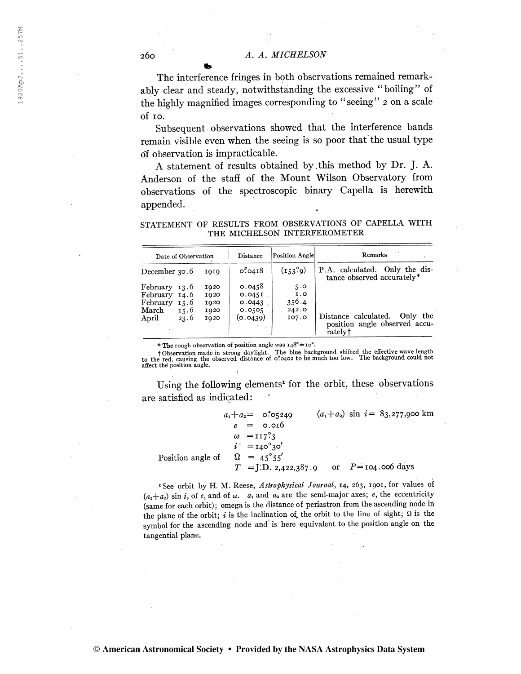The interference fringes in both observations remained remarkably clear and steady, notwithstanding the excessive "boiling" of the highly magnified images corresponding to "seeing" <sup>2</sup> on a scale of 10.

Subsequent observations showed that the interference bands remain visible even when the seeing is so poor that the usual type o'f observation is impracticable.

A statement of results obtained by .this method by Dr. J. A. Anderson of the staff of the Mount Wilson Observatory from observations of the spectroscopic binary Capella is herewith appended.

STATEMENT OF RESULTS FROM OBSERVATIONS OF CAPELLA WITH THE MICHELSON INTERFEROMETER

| Date of Observation                        |              |                      | Distance                   | Position Angle      | Remarks                                                                      |  |  |
|--------------------------------------------|--------------|----------------------|----------------------------|---------------------|------------------------------------------------------------------------------|--|--|
| December $30.6$                            |              | 010                  | 0.0418                     | (153.9)             | P.A. calculated. Only the dis-<br>tance observed accurately*                 |  |  |
| February 13.6<br>February 14.6<br>February | 15.6         | 1020<br>1020<br>1020 | 0.0458<br>0.045I<br>0.0443 | 5.0<br>I.0<br>356.4 |                                                                              |  |  |
| March<br>April                             | 15.6<br>23.6 | 1020<br>1020         | 0.0505<br>(o.0439)         | 242.0<br>107.0      | Distance calculated.<br>Only the<br>position angle observed accu-<br>ratelyt |  |  |

\* The rough observation of position angle was  $148^\circ \pm 10^\circ$ .

t Observation made in strong daylight. The blue background shifted the effective wave-length to the red, causing the observed distance of 0T0402 to be much too low. The background could not affect thé position angle.

Using the following elements<sup>1</sup> for the orbit, these observations are satisfied as indicated:

 $a_1 + a_2 = 0.05249$   $(a_1 + a_2)$  sin  $i = 83,277,900$  km  $e = 0.016$  $\omega = \pi r^{\circ} \cdot 3$  $i' = 140^\circ 30'$ Position angle of  $\Omega = 45^{\circ}55'$  $T = J.D. 2,422,387.9$  or  $P = 104.006$  days

<sup>1</sup>See orbit by H. M. Reese, Astrophysical Journal, 14, 263, 1901, for values of  $(a_1+a_2)$  sin i, of e, and of  $\omega$ .  $a_1$  and  $a_2$  are the semi-major axes; e, the eccentricity (same for each orbit); omega is the distance of periastron from the ascending node in the plane of the orbit; i is the inclination of, the orbit to the line of sight;  $\Omega$  is the symbol for the ascending node and is here equivalent to the position angle on the tangential plane.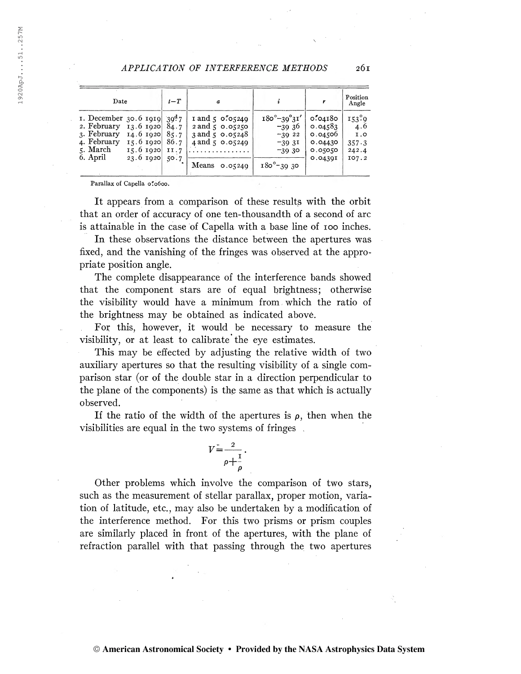#### APPLICATION OF INTERFERENCE METHODS 2ÓI

| Date                                                                                                                                                                                             | $t-T$                        | $\boldsymbol{a}$                                                                                                                          |                                                                                                |                                                                 | Position<br>Angle                              |
|--------------------------------------------------------------------------------------------------------------------------------------------------------------------------------------------------|------------------------------|-------------------------------------------------------------------------------------------------------------------------------------------|------------------------------------------------------------------------------------------------|-----------------------------------------------------------------|------------------------------------------------|
| 1. December 30.6 1919 39 <sup>4</sup> 7<br>2. February<br>13.6 1920 $84.7$<br>3. February<br>$14.6$ $1020$<br>4. February<br>$15.6$ $1020$<br>5. March<br>$15.6$ 1920<br>6. April<br>23.6 $1920$ | 85.7<br>86.7<br>II.7<br>50.7 | $\frac{1 \text{ and } 5 \cdot 0^{6} \cdot 0^{240}}{249}$<br>$2$ and $5$ 0.05250<br>3 and 5 0.05248<br>4 and 5 0.05249<br>Means<br>0.05240 | $180^\circ - 39^\circ 31'$<br>$-39.36$<br>$-3922$<br>$-393I$<br>$-39.30$<br>$180^\circ - 3930$ | 0.704180<br>0.04583<br>0.04500<br>0.04430<br>0.05050<br>0.04391 | 153.9<br>4.6<br>1.0<br>357.3<br>242.4<br>107.2 |

Parallax of Capella 0"0600.

It appears from a comparison of these results with the orbit that an order of accuracy of one ten-thousandth of a second of arc is attainable in the case of Capella with a base line of 100 inches.

In these observations the distance between the apertures was fixed, and the vanishing of the fringes was observed at the appropriate position angle.

The complete disappearance of the interference bands showed that the component stars are of equal brightness; otherwise the visibility would have a minimum from which the ratio of the brightness may be obtained as indicated abové.

Fox this, however, it would be necessary to measure the visibility, or at least to calibrate the eye estimates.

This may be effected by adjusting the relative width of two auxiliary apertures so that the resulting visibility of a single comparison star (or of the double star in a direction perpendicular to the plane of the components) is the same as that which is actually observed.

If the ratio of the width of the apertures is  $\rho$ , then when the visibilities are equal in the two systems of fringes .

$$
V = \frac{2}{\rho + \frac{1}{\rho}}.
$$

Other problems which involve the comparison of two stars, such as the measurement of stellar parallax, proper motion, variation of latitude, etc., may also be undertaken by a modification of the interference method. For this two prisms or prism couples are similarly placed in front of the apertures, with the plane of refraction parallel with that passing through the two apertures